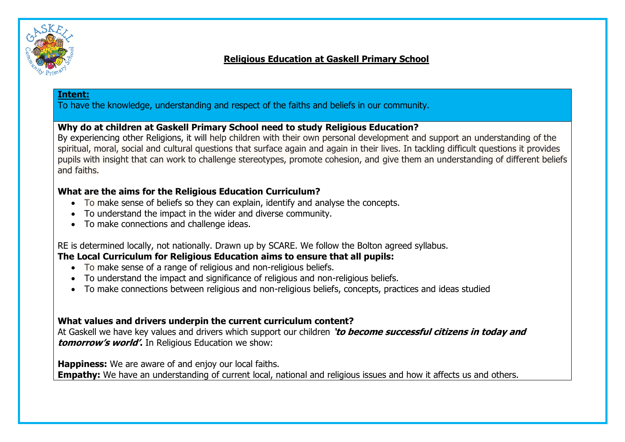

## **Religious Education at Gaskell Primary School**

#### **Intent:**

To have the knowledge, understanding and respect of the faiths and beliefs in our community.

#### **Why do at children at Gaskell Primary School need to study Religious Education?**

By experiencing other Religions, it will help children with their own personal development and support an understanding of the spiritual, moral, social and cultural questions that surface again and again in their lives. In tackling difficult questions it provides pupils with insight that can work to challenge stereotypes, promote cohesion, and give them an understanding of different beliefs and faiths.

### **What are the aims for the Religious Education Curriculum?**

- To make sense of beliefs so they can explain, identify and analyse the concepts.
- To understand the impact in the wider and diverse community.
- To make connections and challenge ideas.

RE is determined locally, not nationally. Drawn up by SCARE. We follow the Bolton agreed syllabus.

# **The Local Curriculum for Religious Education aims to ensure that all pupils:**

- To make sense of a range of religious and non-religious beliefs.
- To understand the impact and significance of religious and non-religious beliefs.
- To make connections between religious and non-religious beliefs, concepts, practices and ideas studied

### **What values and drivers underpin the current curriculum content?**

At Gaskell we have key values and drivers which support our children **'to become successful citizens in today and tomorrow's world'.** In Religious Education we show:

**Happiness:** We are aware of and enjoy our local faiths.

**Empathy:** We have an understanding of current local, national and religious issues and how it affects us and others.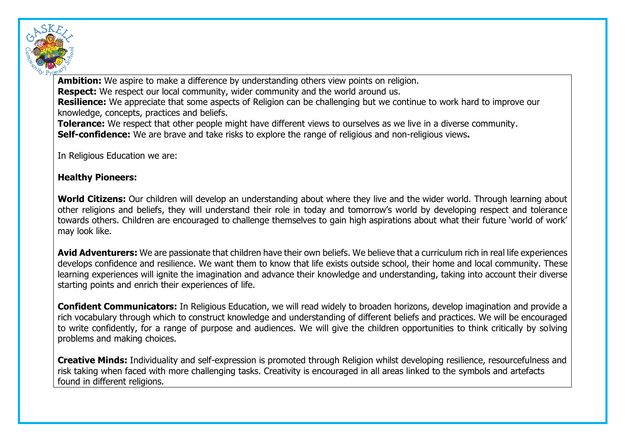

**Ambition:** We aspire to make a difference by understanding others view points on religion. **Respect:** We respect our local community, wider community and the world around us. **Resilience:** We appreciate that some aspects of Religion can be challenging but we continue to work hard to improve our knowledge, concepts, practices and beliefs. **Tolerance:** We respect that other people might have different views to ourselves as we live in a diverse community.

**Self-confidence:** We are brave and take risks to explore the range of religious and non-religious views**.**

In Religious Education we are:

#### **Healthy Pioneers:**

**World Citizens:** Our children will develop an understanding about where they live and the wider world. Through learning about other religions and beliefs, they will understand their role in today and tomorrow's world by developing respect and tolerance towards others. Children are encouraged to challenge themselves to gain high aspirations about what their future 'world of work' may look like.

Avid Adventurers: We are passionate that children have their own beliefs. We believe that a curriculum rich in real life experiences develops confidence and resilience. We want them to know that life exists outside school, their home and local community. These learning experiences will ignite the imagination and advance their knowledge and understanding, taking into account their diverse starting points and enrich their experiences of life.

**Confident Communicators:** In Religious Education, we will read widely to broaden horizons, develop imagination and provide a rich vocabulary through which to construct knowledge and understanding of different beliefs and practices. We will be encouraged to write confidently, for a range of purpose and audiences. We will give the children opportunities to think critically by solving problems and making choices.

**Creative Minds:** Individuality and self-expression is promoted through Religion whilst developing resilience, resourcefulness and risk taking when faced with more challenging tasks. Creativity is encouraged in all areas linked to the symbols and artefacts found in different religions.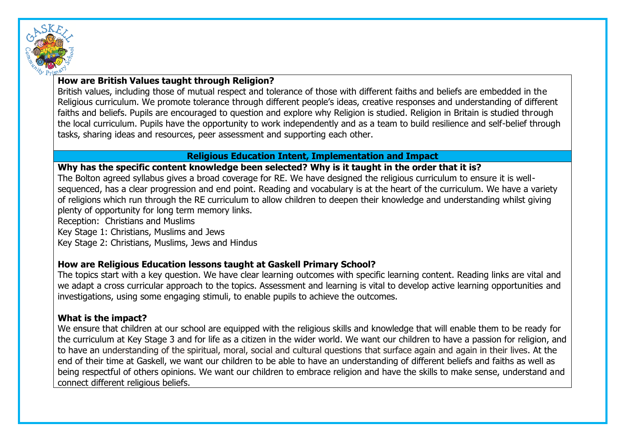

## **How are British Values taught through Religion?**

British values, including those of mutual respect and tolerance of those with different faiths and beliefs are embedded in the Religious curriculum. We promote tolerance through different people's ideas, creative responses and understanding of different faiths and beliefs. Pupils are encouraged to question and explore why Religion is studied. Religion in Britain is studied through the local curriculum. Pupils have the opportunity to work independently and as a team to build resilience and self-belief through tasks, sharing ideas and resources, peer assessment and supporting each other.

### **Religious Education Intent, Implementation and Impact**

#### **Why has the specific content knowledge been selected? Why is it taught in the order that it is?**

The Bolton agreed syllabus gives a broad coverage for RE. We have designed the religious curriculum to ensure it is wellsequenced, has a clear progression and end point. Reading and vocabulary is at the heart of the curriculum. We have a variety of religions which run through the RE curriculum to allow children to deepen their knowledge and understanding whilst giving plenty of opportunity for long term memory links.

Reception: Christians and Muslims

Key Stage 1: Christians, Muslims and Jews

Key Stage 2: Christians, Muslims, Jews and Hindus

### **How are Religious Education lessons taught at Gaskell Primary School?**

The topics start with a key question. We have clear learning outcomes with specific learning content. Reading links are vital and we adapt a cross curricular approach to the topics. Assessment and learning is vital to develop active learning opportunities and investigations, using some engaging stimuli, to enable pupils to achieve the outcomes.

#### **What is the impact?**

We ensure that children at our school are equipped with the religious skills and knowledge that will enable them to be ready for the curriculum at Key Stage 3 and for life as a citizen in the wider world. We want our children to have a passion for religion, and to have an understanding of the spiritual, moral, social and cultural questions that surface again and again in their lives. At the end of their time at Gaskell, we want our children to be able to have an understanding of different beliefs and faiths as well as being respectful of others opinions. We want our children to embrace religion and have the skills to make sense, understand and connect different religious beliefs.